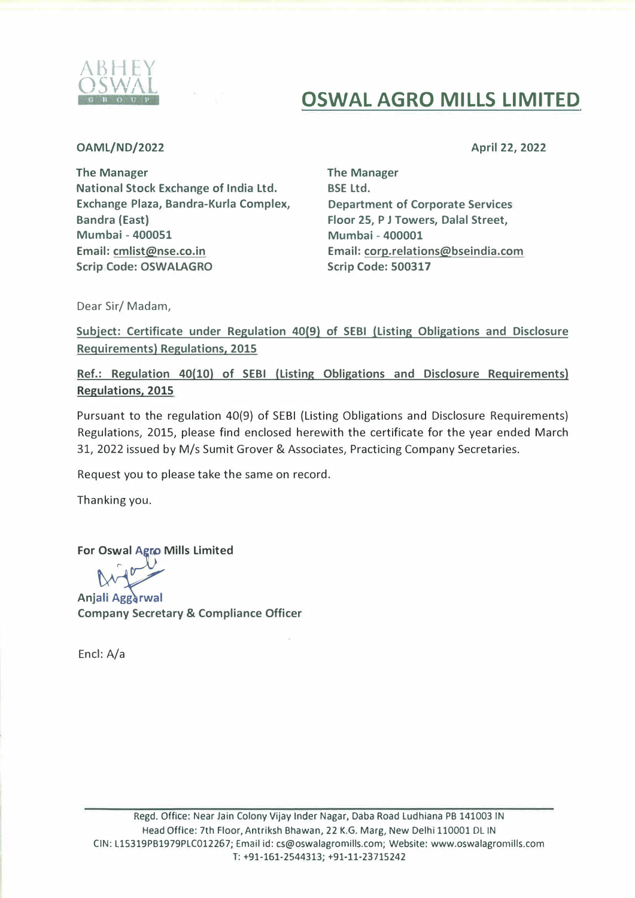

## **OSWAL AGRO MILLS LIMITED**

**OAML/ND/2022** 

April **22, 2022** 

The Manager National Stock Exchange of India Ltd. Exchange Plaza, Bandra-Kurla Complex, Bandra (East) Mumbai - 400051 Email: cmlist@nse.co.in **Scrip Code: OSWALAGRO** 

The Manager BSE Ltd. Department of Corporate Services Floor 25, P J Towers, Dalal Street, Mumbai - 400001 Email: corp.relations@bseindia.com Scrip Code: 500317

Dear Sir/ Madam,

Subject: Certificate under Regulation 40(9) of SEBI (Listing Obligations and Disclosure Requirements) Regulations, 2015

Ref.: Regulation 40(10) of SEBI (Listing Obligations and Disclosure Requirements) Regulations, 2015

Pursuant to the regulation 40{9) of SEBI (Listing Obligations and Disclosure Requirements) Regulations, 2015, please find enclosed herewith the certificate for the year ended March 31, 2022 issued by M/s Sumit Grover & Associates, Practicing Company Secretaries.

Request you to please take the same on record.

Thanking you.

For Oswal Agro Mills Limited

Anjali Aggarwal Company Secretary & Compliance Officer

Encl: A/a